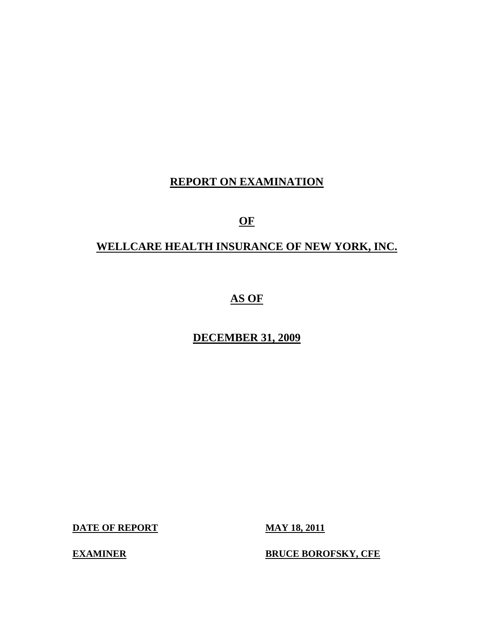## **REPORT ON EXAMINATION**

## **OF**

## **WELLCARE HEALTH INSURANCE OF NEW YORK, INC.**

# **AS OF**

## **DECEMBER 31, 2009**

**DATE OF REPORT MAY 18, 2011** 

**EXAMINER BRUCE BOROFSKY, CFE**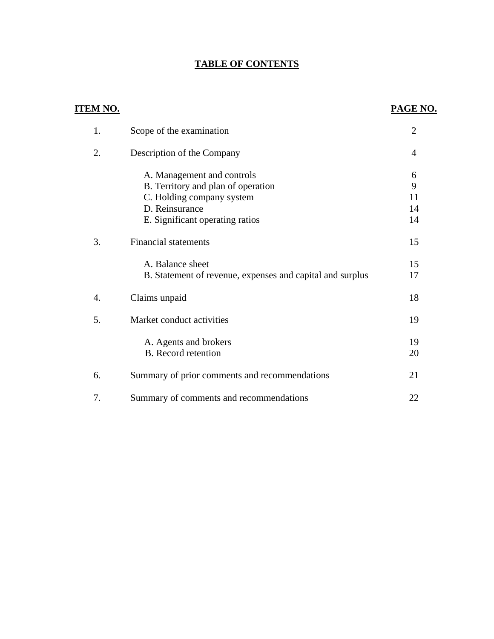## **TABLE OF CONTENTS**

| <u>ITEM NO.</u> |                                                           | <b>PAGE NO.</b> |
|-----------------|-----------------------------------------------------------|-----------------|
| 1.              | Scope of the examination                                  | $\overline{2}$  |
| 2.              | Description of the Company                                | 4               |
|                 | A. Management and controls                                | 6               |
|                 | B. Territory and plan of operation                        | 9               |
|                 | C. Holding company system                                 | 11              |
|                 | D. Reinsurance                                            | 14              |
|                 | E. Significant operating ratios                           | 14              |
| 3.              | <b>Financial statements</b>                               | 15              |
|                 | A. Balance sheet                                          | 15              |
|                 | B. Statement of revenue, expenses and capital and surplus | 17              |
| 4.              | Claims unpaid                                             | 18              |
| 5.              | Market conduct activities                                 | 19              |
|                 | A. Agents and brokers                                     | 19              |
|                 | <b>B.</b> Record retention                                | 20              |
| 6.              | Summary of prior comments and recommendations             | 21              |
| 7.              | Summary of comments and recommendations                   | 22              |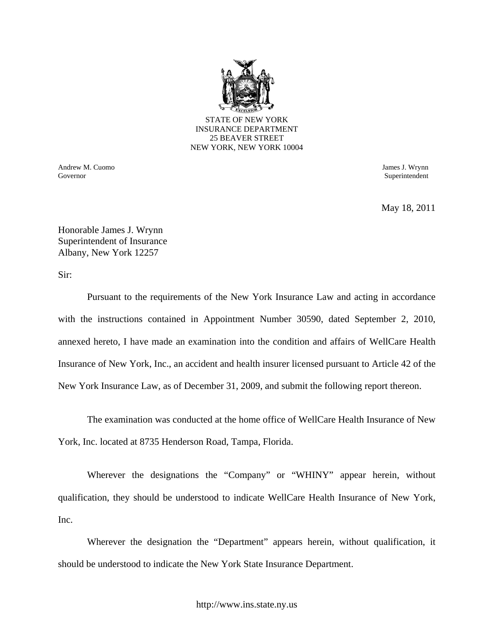

INSURANCE DEPARTMENT 25 BEAVER STREET NEW YORK, NEW YORK 10004

Andrew M. Cuomo James J. Wrynn Governor Superintendent Superintendent Superintendent Superintendent Superintendent Superintendent Superintendent Superintendent Superintendent Superintendent Superintendent Superintendent Superintendent Superintendent Sup

May 18, 2011

Honorable James J. Wrynn Superintendent of Insurance Albany, New York 12257

Sir:

Pursuant to the requirements of the New York Insurance Law and acting in accordance with the instructions contained in Appointment Number 30590, dated September 2, 2010, annexed hereto, I have made an examination into the condition and affairs of WellCare Health Insurance of New York, Inc., an accident and health insurer licensed pursuant to Article 42 of the New York Insurance Law, as of December 31, 2009, and submit the following report thereon.

The examination was conducted at the home office of WellCare Health Insurance of New York, Inc. located at 8735 Henderson Road, Tampa, Florida.

Wherever the designations the "Company" or "WHINY" appear herein, without qualification, they should be understood to indicate WellCare Health Insurance of New York, Inc.

Wherever the designation the "Department" appears herein, without qualification, it should be understood to indicate the New York State Insurance Department.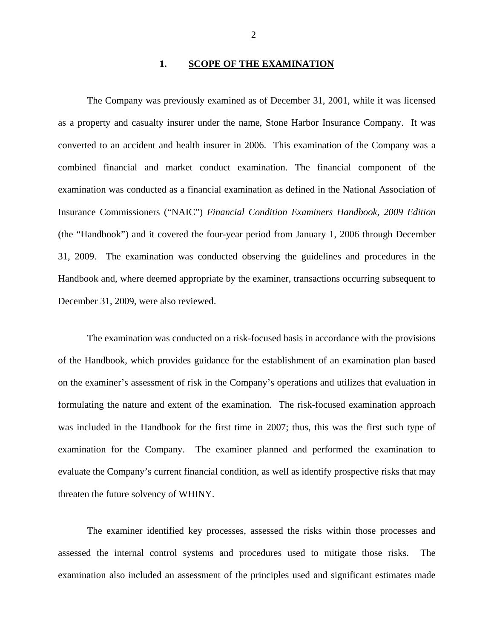#### **1. SCOPE OF THE EXAMINATION**

The Company was previously examined as of December 31, 2001, while it was licensed as a property and casualty insurer under the name, Stone Harbor Insurance Company. It was converted to an accident and health insurer in 2006. This examination of the Company was a combined financial and market conduct examination. The financial component of the examination was conducted as a financial examination as defined in the National Association of Insurance Commissioners ("NAIC") *Financial Condition Examiners Handbook, 2009 Edition*  (the "Handbook") and it covered the four-year period from January 1, 2006 through December 31, 2009. The examination was conducted observing the guidelines and procedures in the Handbook and, where deemed appropriate by the examiner, transactions occurring subsequent to December 31, 2009, were also reviewed.

The examination was conducted on a risk-focused basis in accordance with the provisions of the Handbook, which provides guidance for the establishment of an examination plan based on the examiner's assessment of risk in the Company's operations and utilizes that evaluation in formulating the nature and extent of the examination. The risk-focused examination approach was included in the Handbook for the first time in 2007; thus, this was the first such type of examination for the Company. The examiner planned and performed the examination to evaluate the Company's current financial condition, as well as identify prospective risks that may threaten the future solvency of WHINY.

The examiner identified key processes, assessed the risks within those processes and assessed the internal control systems and procedures used to mitigate those risks. The examination also included an assessment of the principles used and significant estimates made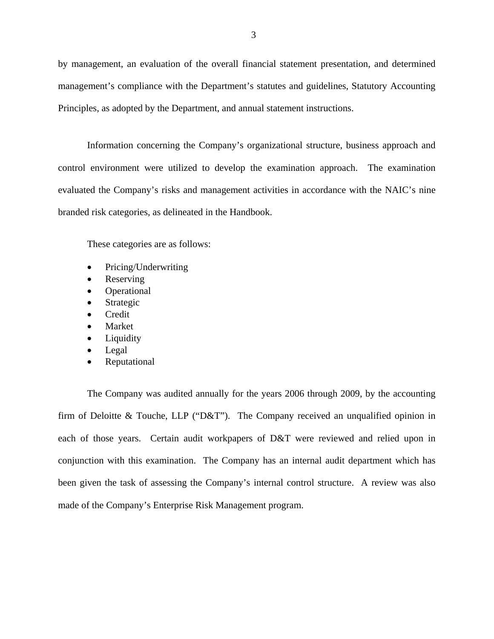by management, an evaluation of the overall financial statement presentation, and determined management's compliance with the Department's statutes and guidelines, Statutory Accounting Principles, as adopted by the Department, and annual statement instructions.

Information concerning the Company's organizational structure, business approach and control environment were utilized to develop the examination approach. The examination evaluated the Company's risks and management activities in accordance with the NAIC's nine branded risk categories, as delineated in the Handbook.

These categories are as follows:

- Pricing/Underwriting
- Reserving
- Operational
- Strategic
- Credit
- Market
- Liquidity
- Legal
- Reputational

The Company was audited annually for the years 2006 through 2009, by the accounting firm of Deloitte & Touche, LLP ("D&T"). The Company received an unqualified opinion in each of those years. Certain audit workpapers of D&T were reviewed and relied upon in conjunction with this examination. The Company has an internal audit department which has been given the task of assessing the Company's internal control structure. A review was also made of the Company's Enterprise Risk Management program.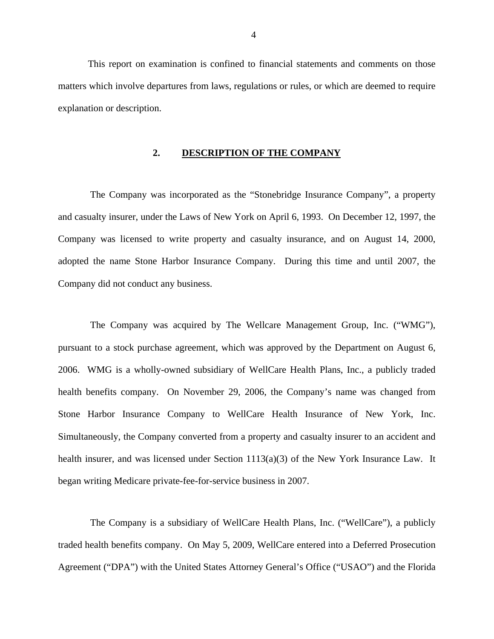This report on examination is confined to financial statements and comments on those matters which involve departures from laws, regulations or rules, or which are deemed to require explanation or description.

### **2. DESCRIPTION OF THE COMPANY**

The Company was incorporated as the "Stonebridge Insurance Company", a property and casualty insurer, under the Laws of New York on April 6, 1993. On December 12, 1997, the Company was licensed to write property and casualty insurance, and on August 14, 2000, adopted the name Stone Harbor Insurance Company. During this time and until 2007, the Company did not conduct any business.

The Company was acquired by The Wellcare Management Group, Inc. ("WMG"), pursuant to a stock purchase agreement, which was approved by the Department on August 6, 2006. WMG is a wholly-owned subsidiary of WellCare Health Plans, Inc., a publicly traded health benefits company. On November 29, 2006, the Company's name was changed from Stone Harbor Insurance Company to WellCare Health Insurance of New York, Inc. Simultaneously, the Company converted from a property and casualty insurer to an accident and health insurer, and was licensed under Section 1113(a)(3) of the New York Insurance Law. It began writing Medicare private-fee-for-service business in 2007.

The Company is a subsidiary of WellCare Health Plans, Inc. ("WellCare"), a publicly traded health benefits company. On May 5, 2009, WellCare entered into a Deferred Prosecution Agreement ("DPA") with the United States Attorney General's Office ("USAO") and the Florida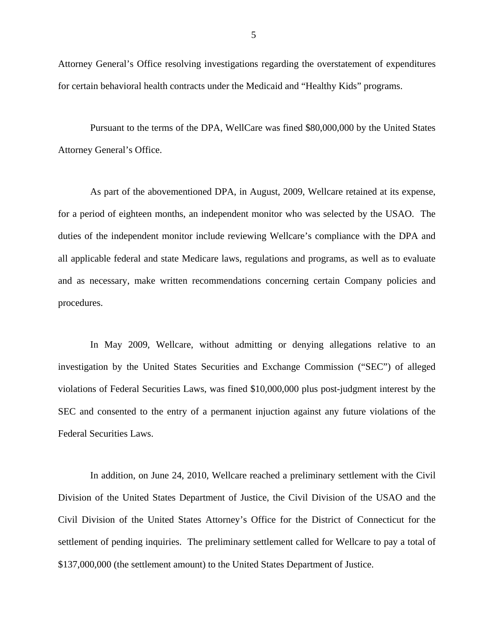Attorney General's Office resolving investigations regarding the overstatement of expenditures for certain behavioral health contracts under the Medicaid and "Healthy Kids" programs.

Pursuant to the terms of the DPA, WellCare was fined \$80,000,000 by the United States Attorney General's Office.

As part of the abovementioned DPA, in August, 2009, Wellcare retained at its expense, for a period of eighteen months, an independent monitor who was selected by the USAO. The duties of the independent monitor include reviewing Wellcare's compliance with the DPA and all applicable federal and state Medicare laws, regulations and programs, as well as to evaluate and as necessary, make written recommendations concerning certain Company policies and procedures.

In May 2009, Wellcare, without admitting or denying allegations relative to an investigation by the United States Securities and Exchange Commission ("SEC") of alleged violations of Federal Securities Laws, was fined \$10,000,000 plus post-judgment interest by the SEC and consented to the entry of a permanent injuction against any future violations of the Federal Securities Laws.

In addition, on June 24, 2010, Wellcare reached a preliminary settlement with the Civil Division of the United States Department of Justice, the Civil Division of the USAO and the Civil Division of the United States Attorney's Office for the District of Connecticut for the settlement of pending inquiries. The preliminary settlement called for Wellcare to pay a total of \$137,000,000 (the settlement amount) to the United States Department of Justice.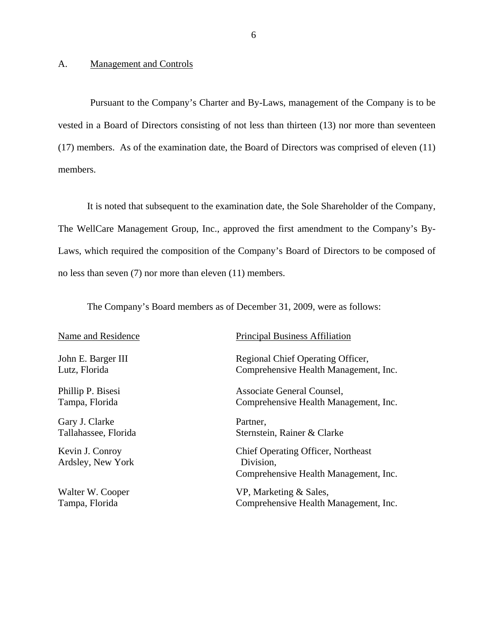#### <span id="page-7-0"></span>A. Management and Controls

Pursuant to the Company's Charter and By-Laws, management of the Company is to be vested in a Board of Directors consisting of not less than thirteen (13) nor more than seventeen (17) members. As of the examination date, the Board of Directors was comprised of eleven (11) members.

It is noted that subsequent to the examination date, the Sole Shareholder of the Company, The WellCare Management Group, Inc., approved the first amendment to the Company's By-Laws, which required the composition of the Company's Board of Directors to be composed of no less than seven (7) nor more than eleven (11) members.

The Company's Board members as of December 31, 2009, were as follows:

Gary J. Clarke Partner,

Ardsley, New York Division,

#### Name and Residence Principal Business Affiliation

John E. Barger III Regional Chief Operating Officer, Lutz, Florida Comprehensive Health Management, Inc.

Phillip P. Bisesi Associate General Counsel, Tampa, Florida Comprehensive Health Management, Inc.

Tallahassee, Florida Sternstein, Rainer & Clarke

Kevin J. Conroy Chief Operating Officer, Northeast Comprehensive Health Management, Inc.

Walter W. Cooper VP, Marketing & Sales, Tampa, Florida Comprehensive Health Management, Inc.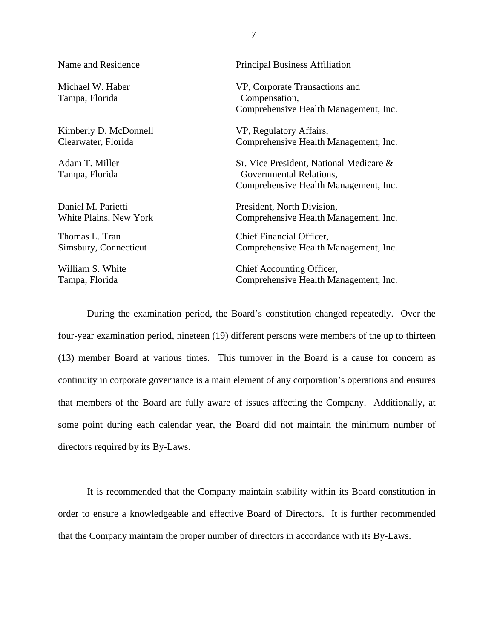#### Name and Residence

Michael W. Haber Tampa, Florida

Kimberly D. McDonnell Clearwater, Florida

Adam T. Miller Tampa, Florida

Daniel M. Parietti White Plains, New York

Thomas L. Tran Simsbury, Connecticut

William S. White Tampa, Florida

#### Principal Business Affiliation

VP, Corporate Transactions and Compensation, Comprehensive Health Management, Inc.

VP, Regulatory Affairs, Comprehensive Health Management, Inc.

Sr. Vice President, National Medicare & Governmental Relations, Comprehensive Health Management, Inc.

President, North Division, Comprehensive Health Management, Inc.

Chief Financial Officer, Comprehensive Health Management, Inc.

Chief Accounting Officer, Comprehensive Health Management, Inc.

During the examination period, the Board's constitution changed repeatedly. Over the four-year examination period, nineteen (19) different persons were members of the up to thirteen (13) member Board at various times. This turnover in the Board is a cause for concern as continuity in corporate governance is a main element of any corporation's operations and ensures that members of the Board are fully aware of issues affecting the Company. Additionally, at some point during each calendar year, the Board did not maintain the minimum number of directors required by its By-Laws.

It is recommended that the Company maintain stability within its Board constitution in order to ensure a knowledgeable and effective Board of Directors. It is further recommended that the Company maintain the proper number of directors in accordance with its By-Laws.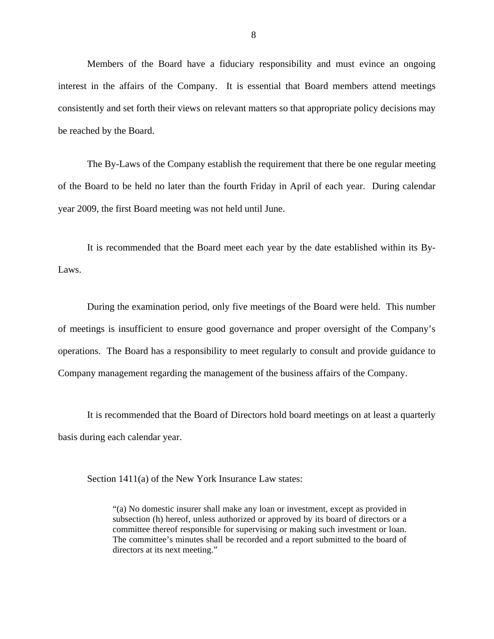Members of the Board have a fiduciary responsibility and must evince an ongoing interest in the affairs of the Company. It is essential that Board members attend meetings consistently and set forth their views on relevant matters so that appropriate policy decisions may be reached by the Board.

The By-Laws of the Company establish the requirement that there be one regular meeting of the Board to be held no later than the fourth Friday in April of each year. During calendar year 2009, the first Board meeting was not held until June.

It is recommended that the Board meet each year by the date established within its By-Laws.

During the examination period, only five meetings of the Board were held. This number of meetings is insufficient to ensure good governance and proper oversight of the Company's operations. The Board has a responsibility to meet regularly to consult and provide guidance to Company management regarding the management of the business affairs of the Company.

It is recommended that the Board of Directors hold board meetings on at least a quarterly basis during each calendar year.

Section 1411(a) of the New York Insurance Law states:

"(a) No domestic insurer shall make any loan or investment, except as provided in subsection (h) hereof, unless authorized or approved by its board of directors or a committee thereof responsible for supervising or making such investment or loan. The committee's minutes shall be recorded and a report submitted to the board of directors at its next meeting."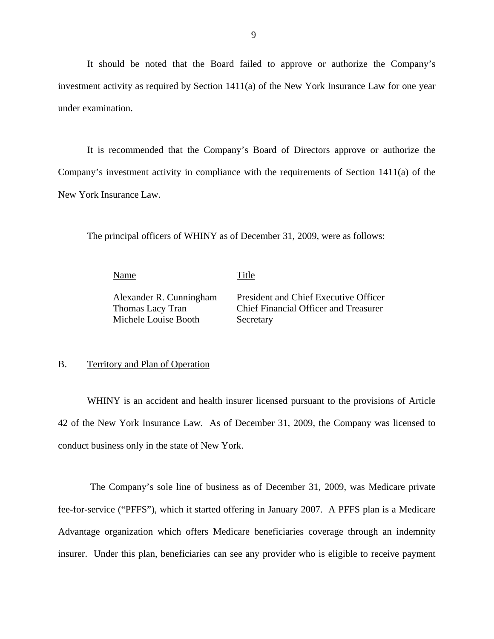<span id="page-10-0"></span>It should be noted that the Board failed to approve or authorize the Company's investment activity as required by Section 1411(a) of the New York Insurance Law for one year under examination.

It is recommended that the Company's Board of Directors approve or authorize the Company's investment activity in compliance with the requirements of Section 1411(a) of the New York Insurance Law.

The principal officers of WHINY as of December 31, 2009, were as follows:

|--|

<u>Performance</u> Title

Michele Louise Booth Secretary

Alexander R. Cunningham President and Chief Executive Officer Thomas Lacy Tran Chief Financial Officer and Treasurer

### B. Territory and Plan of Operation

WHINY is an accident and health insurer licensed pursuant to the provisions of Article 42 of the New York Insurance Law. As of December 31, 2009, the Company was licensed to conduct business only in the state of New York.

The Company's sole line of business as of December 31, 2009, was Medicare private fee-for-service ("PFFS"), which it started offering in January 2007. A PFFS plan is a Medicare Advantage organization which offers Medicare beneficiaries coverage through an indemnity insurer. Under this plan, beneficiaries can see any provider who is eligible to receive payment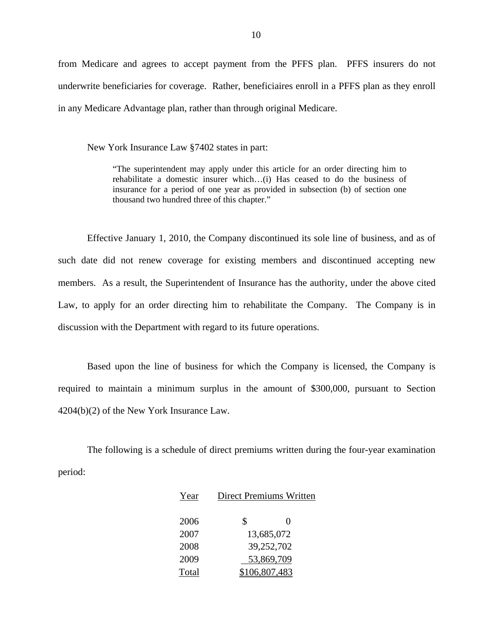from Medicare and agrees to accept payment from the PFFS plan. PFFS insurers do not underwrite beneficiaries for coverage. Rather, beneficiaires enroll in a PFFS plan as they enroll in any Medicare Advantage plan, rather than through original Medicare.

New York Insurance Law §7402 states in part:

"The superintendent may apply under this article for an order directing him to rehabilitate a domestic insurer which…(i) Has ceased to do the business of insurance for a period of one year as provided in subsection (b) of section one thousand two hundred three of this chapter."

Effective January 1, 2010, the Company discontinued its sole line of business, and as of such date did not renew coverage for existing members and discontinued accepting new members. As a result, the Superintendent of Insurance has the authority, under the above cited Law, to apply for an order directing him to rehabilitate the Company. The Company is in discussion with the Department with regard to its future operations.

Based upon the line of business for which the Company is licensed, the Company is required to maintain a minimum surplus in the amount of \$300,000, pursuant to Section 4204(b)(2) of the New York Insurance Law.

The following is a schedule of direct premiums written during the four-year examination period:

| Year  |               | <b>Direct Premiums Written</b> |  |  |
|-------|---------------|--------------------------------|--|--|
| 2006  | \$            | $\mathbf{\Omega}$              |  |  |
| 2007  |               | 13,685,072                     |  |  |
| 2008  |               | 39,252,702                     |  |  |
| 2009  |               | 53,869,709                     |  |  |
| Total | \$106,807,483 |                                |  |  |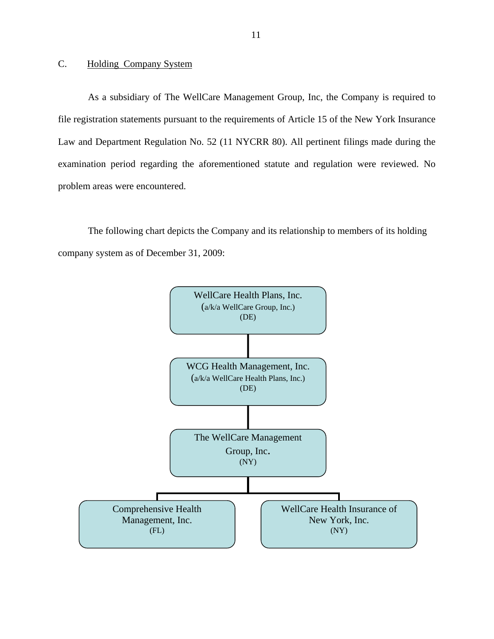## <span id="page-12-0"></span>C. Holding Company System

As a subsidiary of The WellCare Management Group, Inc, the Company is required to file registration statements pursuant to the requirements of Article 15 of the New York Insurance Law and Department Regulation No. 52 (11 NYCRR 80). All pertinent filings made during the examination period regarding the aforementioned statute and regulation were reviewed. No problem areas were encountered.

The following chart depicts the Company and its relationship to members of its holding company system as of December 31, 2009:

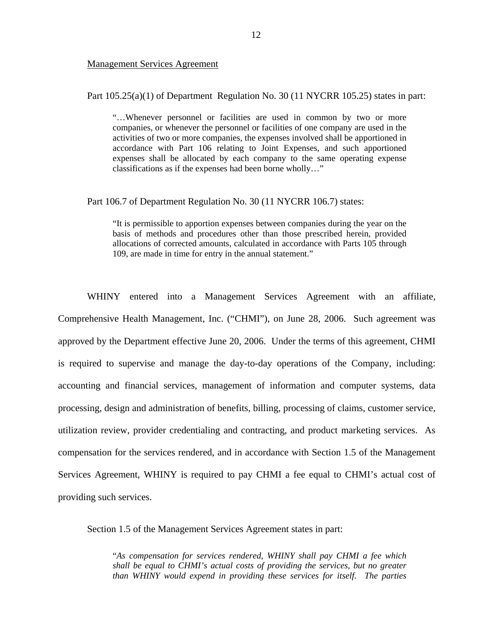#### Management Services Agreement

Part  $105.25(a)(1)$  of Department Regulation No. 30 (11 NYCRR 105.25) states in part:

"…Whenever personnel or facilities are used in common by two or more companies, or whenever the personnel or facilities of one company are used in the activities of two or more companies, the expenses involved shall be apportioned in accordance with Part 106 relating to Joint Expenses, and such apportioned expenses shall be allocated by each company to the same operating expense classifications as if the expenses had been borne wholly…"

#### Part 106.7 of Department Regulation No. 30 (11 NYCRR 106.7) states:

"It is permissible to apportion expenses between companies during the year on the basis of methods and procedures other than those prescribed herein, provided allocations of corrected amounts, calculated in accordance with Parts 105 through 109, are made in time for entry in the annual statement."

WHINY entered into a Management Services Agreement with an affiliate, Comprehensive Health Management, Inc. ("CHMI"), on June 28, 2006. Such agreement was approved by the Department effective June 20, 2006. Under the terms of this agreement, CHMI is required to supervise and manage the day-to-day operations of the Company, including: accounting and financial services, management of information and computer systems, data processing, design and administration of benefits, billing, processing of claims, customer service, utilization review, provider credentialing and contracting, and product marketing services. As compensation for the services rendered, and in accordance with Section 1.5 of the Management Services Agreement, WHINY is required to pay CHMI a fee equal to CHMI's actual cost of providing such services.

Section 1.5 of the Management Services Agreement states in part:

"*As compensation for services rendered, WHINY shall pay CHMI a fee which shall be equal to CHMI's actual costs of providing the services, but no greater than WHINY would expend in providing these services for itself. The parties*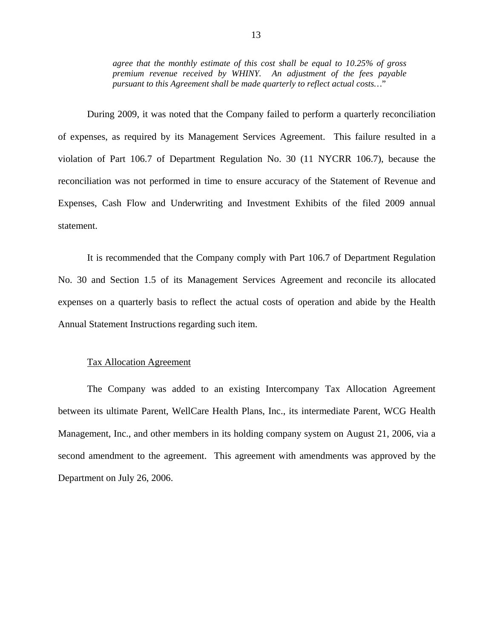*agree that the monthly estimate of this cost shall be equal to 10.25% of gross premium revenue received by WHINY. An adjustment of the fees payable pursuant to this Agreement shall be made quarterly to reflect actual costs…*"

During 2009, it was noted that the Company failed to perform a quarterly reconciliation of expenses, as required by its Management Services Agreement. This failure resulted in a violation of Part 106.7 of Department Regulation No. 30 (11 NYCRR 106.7), because the reconciliation was not performed in time to ensure accuracy of the Statement of Revenue and Expenses, Cash Flow and Underwriting and Investment Exhibits of the filed 2009 annual statement.

It is recommended that the Company comply with Part 106.7 of Department Regulation No. 30 and Section 1.5 of its Management Services Agreement and reconcile its allocated expenses on a quarterly basis to reflect the actual costs of operation and abide by the Health Annual Statement Instructions regarding such item.

#### Tax Allocation Agreement

The Company was added to an existing Intercompany Tax Allocation Agreement between its ultimate Parent, WellCare Health Plans, Inc., its intermediate Parent, WCG Health Management, Inc., and other members in its holding company system on August 21, 2006, via a second amendment to the agreement. This agreement with amendments was approved by the Department on July 26, 2006.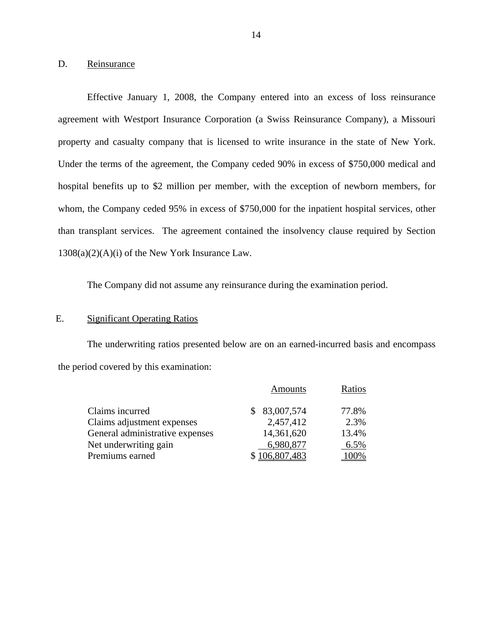### D. Reinsurance

Effective January 1, 2008, the Company entered into an excess of loss reinsurance agreement with Westport Insurance Corporation (a Swiss Reinsurance Company), a Missouri property and casualty company that is licensed to write insurance in the state of New York. Under the terms of the agreement, the Company ceded 90% in excess of \$750,000 medical and hospital benefits up to \$2 million per member, with the exception of newborn members, for whom, the Company ceded 95% in excess of \$750,000 for the inpatient hospital services, other than transplant services. The agreement contained the insolvency clause required by Section 1308(a)(2)(A)(i) of the New York Insurance Law.

The Company did not assume any reinsurance during the examination period.

#### E. Significant Operating Ratios

The underwriting ratios presented below are on an earned-incurred basis and encompass the period covered by this examination:

|                                 | <b>Amounts</b> | Ratios |
|---------------------------------|----------------|--------|
| Claims incurred                 | \$83,007,574   | 77.8%  |
| Claims adjustment expenses      | 2,457,412      | 2.3%   |
| General administrative expenses | 14,361,620     | 13.4%  |
| Net underwriting gain           | 6,980,877      | 6.5%   |
| Premiums earned                 | \$106,807,483  | 100%   |
|                                 |                |        |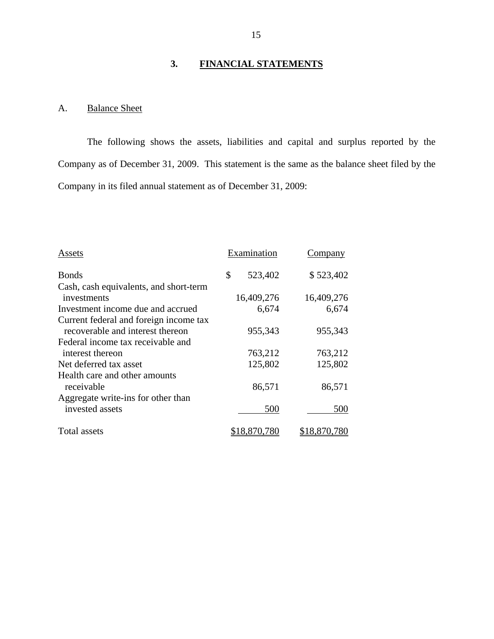## **3. FINANCIAL STATEMENTS**

## A. Balance Sheet

The following shows the assets, liabilities and capital and surplus reported by the Company as of December 31, 2009. This statement is the same as the balance sheet filed by the Company in its filed annual statement as of December 31, 2009:

| Assets                                 | Examination   | Company    |
|----------------------------------------|---------------|------------|
| <b>Bonds</b>                           | \$<br>523,402 | \$523,402  |
| Cash, cash equivalents, and short-term |               |            |
| investments                            | 16,409,276    | 16,409,276 |
| Investment income due and accrued      | 6,674         | 6,674      |
| Current federal and foreign income tax |               |            |
| recoverable and interest thereon       | 955,343       | 955,343    |
| Federal income tax receivable and      |               |            |
| interest thereon                       | 763,212       | 763,212    |
| Net deferred tax asset                 | 125,802       | 125,802    |
| Health care and other amounts          |               |            |
| receivable                             | 86,571        | 86,571     |
| Aggregate write-ins for other than     |               |            |
| invested assets                        | 500           | 500        |
| Total assets                           |               |            |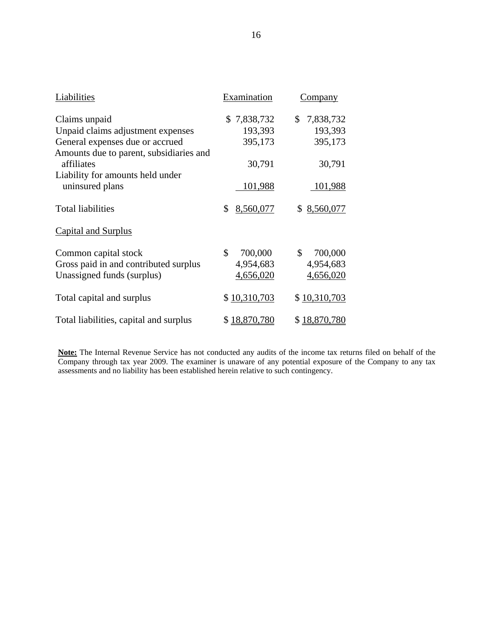| Liabilities                             | Examination     | <u>Company</u>  |  |
|-----------------------------------------|-----------------|-----------------|--|
| Claims unpaid                           | \$7,838,732     | \$<br>7,838,732 |  |
| Unpaid claims adjustment expenses       | 193,393         | 193,393         |  |
| General expenses due or accrued         | 395,173         | 395,173         |  |
| Amounts due to parent, subsidiaries and |                 |                 |  |
| affiliates                              | 30,791          | 30,791          |  |
| Liability for amounts held under        |                 |                 |  |
| uninsured plans                         | 101,988         | 101,988         |  |
|                                         |                 |                 |  |
| <b>Total liabilities</b>                | \$<br>8,560,077 | 8,560,077<br>\$ |  |
| <b>Capital and Surplus</b>              |                 |                 |  |
| Common capital stock                    | \$<br>700,000   | \$<br>700,000   |  |
| Gross paid in and contributed surplus   | 4,954,683       | 4,954,683       |  |
| Unassigned funds (surplus)              | 4,656,020       | 4,656,020       |  |
|                                         |                 |                 |  |
| Total capital and surplus               | \$10,310,703    | \$10,310,703    |  |
|                                         |                 |                 |  |
| Total liabilities, capital and surplus  | \$18,870,780    | \$18,870,780    |  |

 **Note:** The Internal Revenue Service has not conducted any audits of the income tax returns filed on behalf of the Company through tax year 2009. The examiner is unaware of any potential exposure of the Company to any tax assessments and no liability has been established herein relative to such contingency.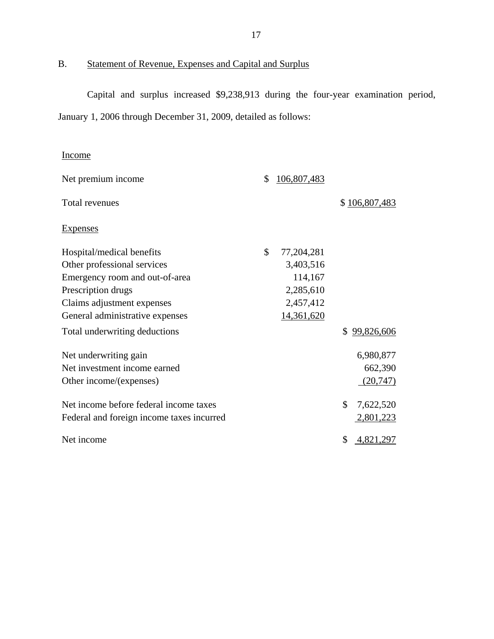B. Statement of Revenue, Expenses and Capital and Surplus

Capital and surplus increased \$9,238,913 during the four-year examination period, January 1, 2006 through December 31, 2009, detailed as follows:

## Income

| Income                                    |                    |                  |
|-------------------------------------------|--------------------|------------------|
| Net premium income                        | \$<br>106,807,483  |                  |
| Total revenues                            |                    | \$106,807,483    |
| <b>Expenses</b>                           |                    |                  |
| Hospital/medical benefits                 | \$<br>77, 204, 281 |                  |
| Other professional services               | 3,403,516          |                  |
| Emergency room and out-of-area            | 114,167            |                  |
| Prescription drugs                        | 2,285,610          |                  |
| Claims adjustment expenses                | 2,457,412          |                  |
| General administrative expenses           | 14,361,620         |                  |
| Total underwriting deductions             |                    | \$<br>99,826,606 |
| Net underwriting gain                     |                    | 6,980,877        |
| Net investment income earned              |                    | 662,390          |
| Other income/(expenses)                   |                    | (20, 747)        |
| Net income before federal income taxes    |                    | \$<br>7,622,520  |
| Federal and foreign income taxes incurred |                    | 2,801,223        |
| Net income                                |                    | \$<br>4,821,297  |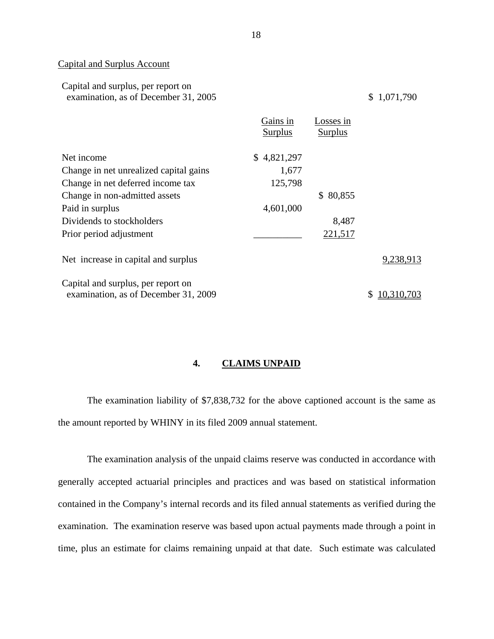#### Capital and Surplus Account

| Capital and surplus, per report on   |  |
|--------------------------------------|--|
| examination, as of December 31, 2005 |  |

 $$1,071,790$ 

|                                        | Gains in<br>Surplus | Losses in<br>Surplus |            |
|----------------------------------------|---------------------|----------------------|------------|
| Net income                             | \$4,821,297         |                      |            |
| Change in net unrealized capital gains | 1,677               |                      |            |
| Change in net deferred income tax      | 125,798             |                      |            |
| Change in non-admitted assets          |                     | \$80,855             |            |
| Paid in surplus                        | 4,601,000           |                      |            |
| Dividends to stockholders              |                     | 8,487                |            |
| Prior period adjustment                |                     | 221,517              |            |
| Net increase in capital and surplus    |                     |                      | 9,238,913  |
| Capital and surplus, per report on     |                     |                      |            |
| examination, as of December 31, 2009   |                     |                      | 10,310,703 |

## **4. CLAIMS UNPAID**

The examination liability of \$7,838,732 for the above captioned account is the same as the amount reported by WHINY in its filed 2009 annual statement.

The examination analysis of the unpaid claims reserve was conducted in accordance with generally accepted actuarial principles and practices and was based on statistical information contained in the Company's internal records and its filed annual statements as verified during the examination. The examination reserve was based upon actual payments made through a point in time, plus an estimate for claims remaining unpaid at that date. Such estimate was calculated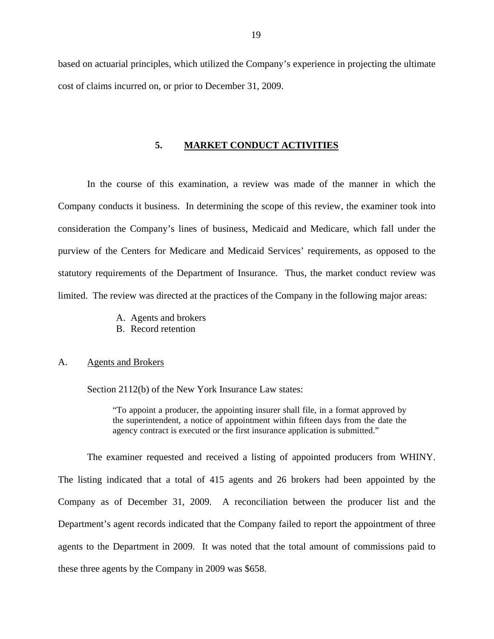<span id="page-20-0"></span>based on actuarial principles, which utilized the Company's experience in projecting the ultimate cost of claims incurred on, or prior to December 31, 2009.

#### **5. MARKET CONDUCT ACTIVITIES**

In the course of this examination, a review was made of the manner in which the Company conducts it business. In determining the scope of this review, the examiner took into consideration the Company's lines of business, Medicaid and Medicare, which fall under the purview of the Centers for Medicare and Medicaid Services' requirements, as opposed to the statutory requirements of the Department of Insurance. Thus, the market conduct review was limited. The review was directed at the practices of the Company in the following major areas:

> A. Agents and brokers B. Record retention

#### A. Agents and Brokers

Section 2112(b) of the New York Insurance Law states:

"To appoint a producer, the appointing insurer shall file, in a format approved by the superintendent, a notice of appointment within fifteen days from the date the agency contract is executed or the first insurance application is submitted."

The examiner requested and received a listing of appointed producers from WHINY. The listing indicated that a total of 415 agents and 26 brokers had been appointed by the Company as of December 31, 2009. A reconciliation between the producer list and the Department's agent records indicated that the Company failed to report the appointment of three agents to the Department in 2009. It was noted that the total amount of commissions paid to these three agents by the Company in 2009 was \$658.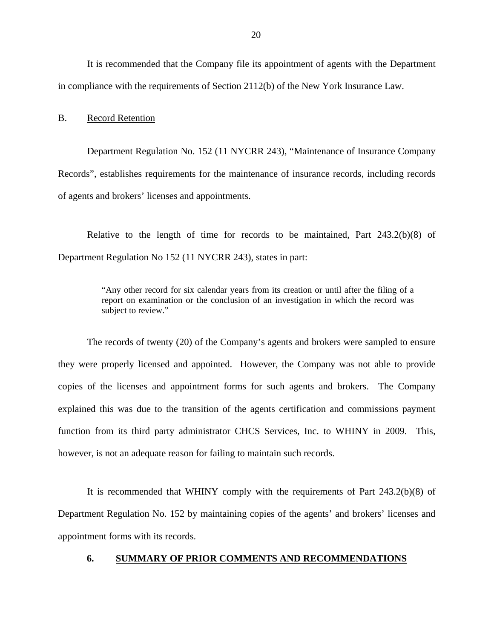<span id="page-21-0"></span>It is recommended that the Company file its appointment of agents with the Department in compliance with the requirements of Section 2112(b) of the New York Insurance Law.

#### B. Record Retention

Department Regulation No. 152 (11 NYCRR 243), "Maintenance of Insurance Company Records", establishes requirements for the maintenance of insurance records, including records of agents and brokers' licenses and appointments.

Relative to the length of time for records to be maintained, Part 243.2(b)(8) of Department Regulation No 152 (11 NYCRR 243), states in part:

> "Any other record for six calendar years from its creation or until after the filing of a report on examination or the conclusion of an investigation in which the record was subject to review."

The records of twenty (20) of the Company's agents and brokers were sampled to ensure they were properly licensed and appointed. However, the Company was not able to provide copies of the licenses and appointment forms for such agents and brokers. The Company explained this was due to the transition of the agents certification and commissions payment function from its third party administrator CHCS Services, Inc. to WHINY in 2009. This, however, is not an adequate reason for failing to maintain such records.

It is recommended that WHINY comply with the requirements of Part 243.2(b)(8) of Department Regulation No. 152 by maintaining copies of the agents' and brokers' licenses and appointment forms with its records.

#### **6. SUMMARY OF PRIOR COMMENTS AND RECOMMENDATIONS**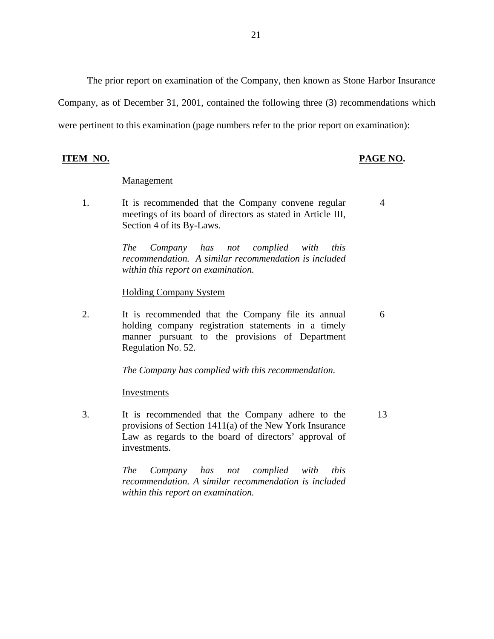The prior report on examination of the Company, then known as Stone Harbor Insurance Company, as of December 31, 2001, contained the following three (3) recommendations which were pertinent to this examination (page numbers refer to the prior report on examination):

**ITEM NO. PAGE NO.** 

4

6

13

#### **Management**

1. It is recommended that the Company convene regular meetings of its board of directors as stated in Article III, Section 4 of its By-Laws.

> *The Company has not complied with this recommendation. A similar recommendation is included within this report on examination.*

#### Holding Company System

2. It is recommended that the Company file its annual holding company registration statements in a timely manner pursuant to the provisions of Department Regulation No. 52.

*The Company has complied with this recommendation.* 

#### Investments

3. It is recommended that the Company adhere to the provisions of Section 1411(a) of the New York Insurance Law as regards to the board of directors' approval of investments.

> *within this report on examination. The Company has not complied with this recommendation. A similar recommendation is included*

21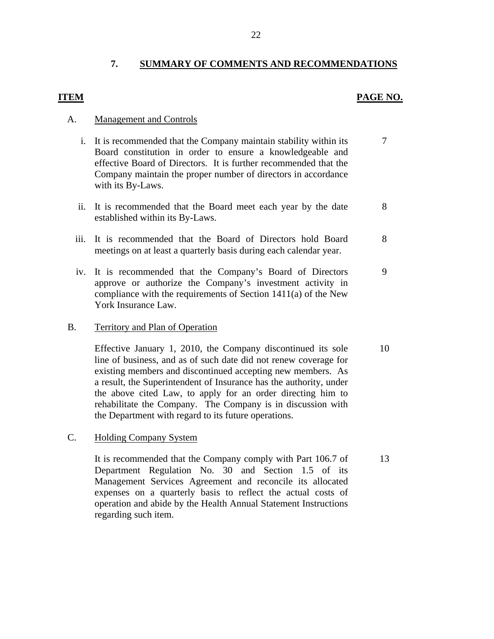## **7. SUMMARY OF COMMENTS AND RECOMMENDATIONS**

## <span id="page-23-0"></span>**ITEM PAGE NO.**

#### **Management and Controls**

- A. Management and Controls<br>i. It is recommended that the Company maintain stability within its 7 Board constitution in order to ensure a knowledgeable and effective Board of Directors. It is further recommended that the Company maintain the proper number of directors in accordance with its By-Laws.
	- ii. It is recommended that the Board meet each year by the date 8 established within its By-Laws.
	- iii. It is recommended that the Board of Directors hold Board 8 meetings on at least a quarterly basis during each calendar year.
	- iv. It is recommended that the Company's Board of Directors 9 approve or authorize the Company's investment activity in compliance with the requirements of Section 1411(a) of the New York Insurance Law.

#### B. Territory and Plan of Operation

Effective January 1, 2010, the Company discontinued its sole 10 line of business, and as of such date did not renew coverage for existing members and discontinued accepting new members. As a result, the Superintendent of Insurance has the authority, under the above cited Law, to apply for an order directing him to rehabilitate the Company. The Company is in discussion with the Department with regard to its future operations.

**Holding Company System** 

C. Holding Company System<br>It is recommended that the Company comply with Part 106.7 of 13 Department Regulation No. 30 and Section 1.5 of its Management Services Agreement and reconcile its allocated expenses on a quarterly basis to reflect the actual costs of operation and abide by the Health Annual Statement Instructions regarding such item.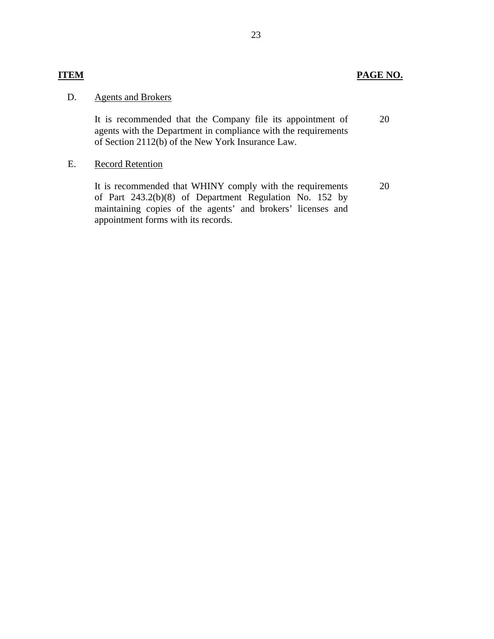## **ITEM PAGE NO.**

#### **Agents and Brokers** D.

It is recommended that the Company file its appointment of agents with the Department in compliance with the requirements of Section 2112(b) of the New York Insurance Law. It is recommended that the Company file its appointment of agents with the Department in compliance with the requirements of Section 2112(b) of the New York Insurance Law.<br>Record Retention

#### **Record Retention** E.

It is recommended that WHINY comply with the requirements of Part 243.2(b)(8) of Department Regulation No. 152 by maintaining copies of the agents' and brokers' licenses and appointment forms with its records. 20